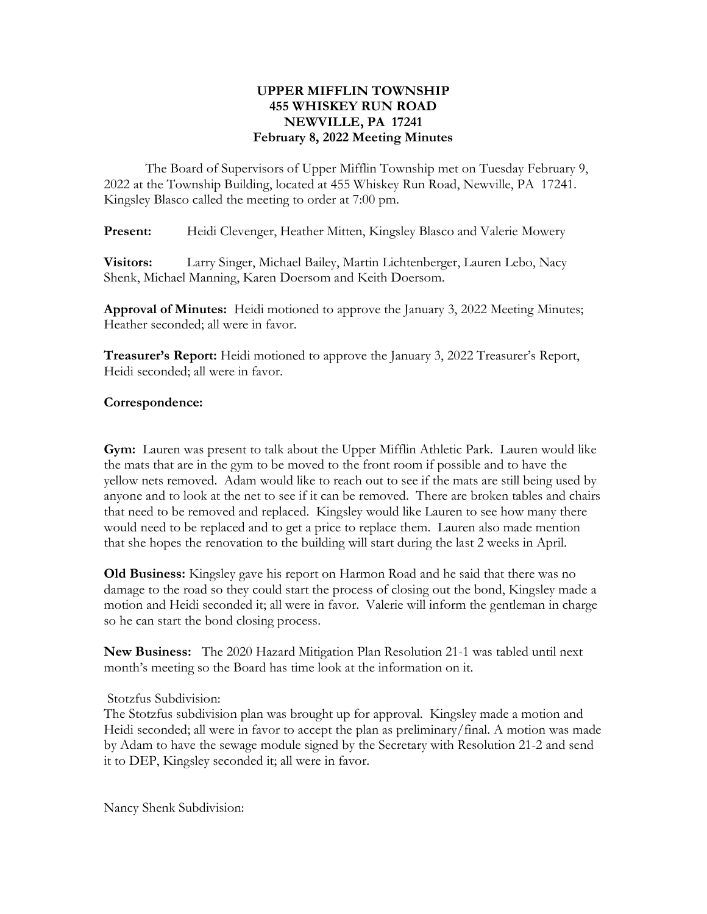## UPPER MIFFLIN TOWNSHIP 455 WHISKEY RUN ROAD NEWVILLE, PA 17241 February 8, 2022 Meeting Minutes

The Board of Supervisors of Upper Mifflin Township met on Tuesday February 9, 2022 at the Township Building, located at 455 Whiskey Run Road, Newville, PA 17241. Kingsley Blasco called the meeting to order at 7:00 pm.

**Present:** Heidi Clevenger, Heather Mitten, Kingsley Blasco and Valerie Mowery

Visitors: Larry Singer, Michael Bailey, Martin Lichtenberger, Lauren Lebo, Nacy Shenk, Michael Manning, Karen Doersom and Keith Doersom.

Approval of Minutes: Heidi motioned to approve the January 3, 2022 Meeting Minutes; Heather seconded; all were in favor.

**Treasurer's Report:** Heidi motioned to approve the January 3, 2022 Treasurer's Report, Heidi seconded; all were in favor.

## Correspondence:

Gym: Lauren was present to talk about the Upper Mifflin Athletic Park. Lauren would like the mats that are in the gym to be moved to the front room if possible and to have the yellow nets removed. Adam would like to reach out to see if the mats are still being used by anyone and to look at the net to see if it can be removed. There are broken tables and chairs that need to be removed and replaced. Kingsley would like Lauren to see how many there would need to be replaced and to get a price to replace them. Lauren also made mention that she hopes the renovation to the building will start during the last 2 weeks in April.

Old Business: Kingsley gave his report on Harmon Road and he said that there was no damage to the road so they could start the process of closing out the bond, Kingsley made a motion and Heidi seconded it; all were in favor. Valerie will inform the gentleman in charge so he can start the bond closing process.

New Business: The 2020 Hazard Mitigation Plan Resolution 21-1 was tabled until next month's meeting so the Board has time look at the information on it.

## Stotzfus Subdivision:

The Stotzfus subdivision plan was brought up for approval. Kingsley made a motion and Heidi seconded; all were in favor to accept the plan as preliminary/final. A motion was made by Adam to have the sewage module signed by the Secretary with Resolution 21-2 and send it to DEP, Kingsley seconded it; all were in favor.

Nancy Shenk Subdivision: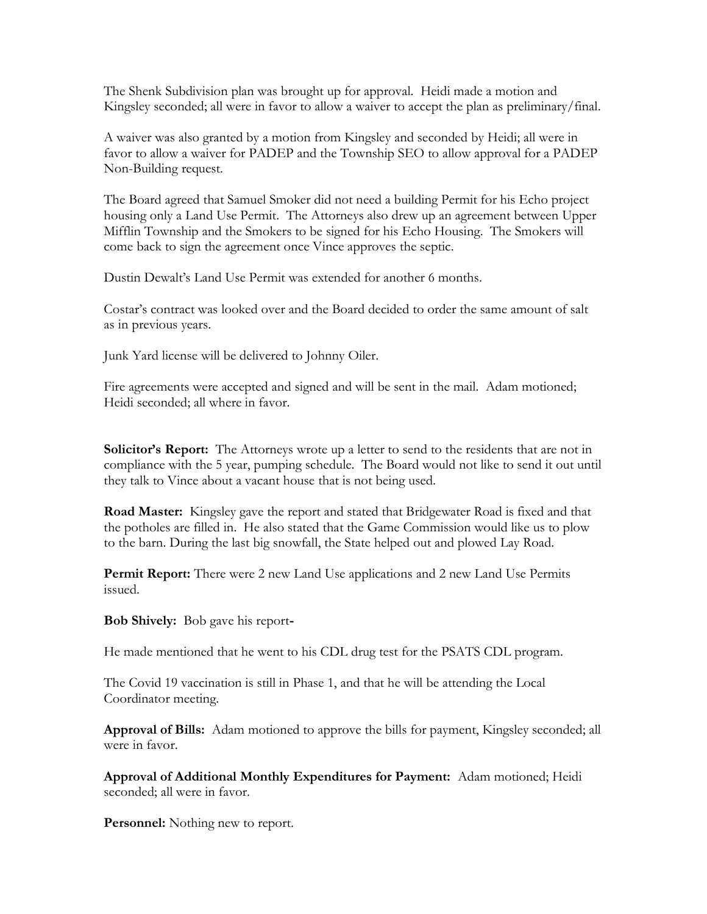The Shenk Subdivision plan was brought up for approval. Heidi made a motion and Kingsley seconded; all were in favor to allow a waiver to accept the plan as preliminary/final.

A waiver was also granted by a motion from Kingsley and seconded by Heidi; all were in favor to allow a waiver for PADEP and the Township SEO to allow approval for a PADEP Non-Building request.

The Board agreed that Samuel Smoker did not need a building Permit for his Echo project housing only a Land Use Permit. The Attorneys also drew up an agreement between Upper Mifflin Township and the Smokers to be signed for his Echo Housing. The Smokers will come back to sign the agreement once Vince approves the septic.

Dustin Dewalt's Land Use Permit was extended for another 6 months.

Costar's contract was looked over and the Board decided to order the same amount of salt as in previous years.

Junk Yard license will be delivered to Johnny Oiler.

Fire agreements were accepted and signed and will be sent in the mail. Adam motioned; Heidi seconded; all where in favor.

Solicitor's Report: The Attorneys wrote up a letter to send to the residents that are not in compliance with the 5 year, pumping schedule. The Board would not like to send it out until they talk to Vince about a vacant house that is not being used.

Road Master: Kingsley gave the report and stated that Bridgewater Road is fixed and that the potholes are filled in. He also stated that the Game Commission would like us to plow to the barn. During the last big snowfall, the State helped out and plowed Lay Road.

Permit Report: There were 2 new Land Use applications and 2 new Land Use Permits issued.

Bob Shively: Bob gave his report-

He made mentioned that he went to his CDL drug test for the PSATS CDL program.

The Covid 19 vaccination is still in Phase 1, and that he will be attending the Local Coordinator meeting.

Approval of Bills: Adam motioned to approve the bills for payment, Kingsley seconded; all were in favor.

Approval of Additional Monthly Expenditures for Payment: Adam motioned; Heidi seconded; all were in favor.

Personnel: Nothing new to report.